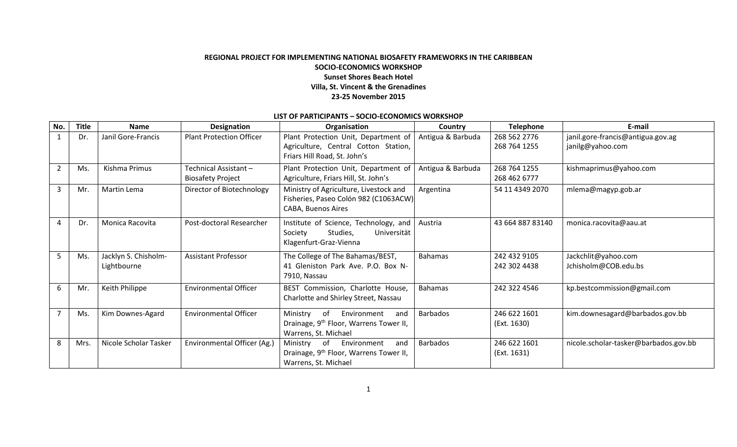## **REGIONAL PROJECT FOR IMPLEMENTING NATIONAL BIOSAFETY FRAMEWORKS IN THE CARIBBEAN SOCIO-ECONOMICS WORKSHOP Sunset Shores Beach Hotel Villa, St. Vincent & the Grenadines 23-25 November 2015**

## **LIST OF PARTICIPANTS – SOCIO-ECONOMICS WORKSHOP**

| No.            | <b>Title</b> | <b>Name</b>                         | <b>Designation</b>                                | Organisation                                                                                                       | Country           | <b>Telephone</b>             | E-mail                                                |
|----------------|--------------|-------------------------------------|---------------------------------------------------|--------------------------------------------------------------------------------------------------------------------|-------------------|------------------------------|-------------------------------------------------------|
| 1              | Dr.          | Janil Gore-Francis                  | <b>Plant Protection Officer</b>                   | Plant Protection Unit, Department of<br>Agriculture, Central Cotton Station,<br>Friars Hill Road, St. John's       | Antigua & Barbuda | 268 562 2776<br>268 764 1255 | janil.gore-francis@antigua.gov.ag<br>janilg@yahoo.com |
| $\overline{2}$ | Ms.          | Kishma Primus                       | Technical Assistant -<br><b>Biosafety Project</b> | Plant Protection Unit, Department of<br>Agriculture, Friars Hill, St. John's                                       | Antigua & Barbuda | 268 764 1255<br>268 462 6777 | kishmaprimus@yahoo.com                                |
| 3              | Mr.          | Martin Lema                         | Director of Biotechnology                         | Ministry of Agriculture, Livestock and<br>Fisheries, Paseo Colón 982 (C1063ACW)<br>CABA, Buenos Aires              | Argentina         | 54 11 4349 2070              | mlema@magyp.gob.ar                                    |
| 4              | Dr.          | Monica Racovita                     | Post-doctoral Researcher                          | Institute of Science, Technology, and<br>Society<br>Studies,<br>Universität<br>Klagenfurt-Graz-Vienna              | Austria           | 43 664 887 83140             | monica.racovita@aau.at                                |
| 5              | Ms.          | Jacklyn S. Chisholm-<br>Lightbourne | <b>Assistant Professor</b>                        | The College of The Bahamas/BEST,<br>41 Gleniston Park Ave. P.O. Box N-<br>7910, Nassau                             | <b>Bahamas</b>    | 242 432 9105<br>242 302 4438 | Jackchlit@yahoo.com<br>Jchisholm@COB.edu.bs           |
| 6              | Mr.          | Keith Philippe                      | <b>Environmental Officer</b>                      | BEST Commission, Charlotte House,<br>Charlotte and Shirley Street, Nassau                                          | <b>Bahamas</b>    | 242 322 4546                 | kp.bestcommission@gmail.com                           |
|                | Ms.          | Kim Downes-Agard                    | <b>Environmental Officer</b>                      | of<br>Ministry<br>Environment<br>and<br>Drainage, 9 <sup>th</sup> Floor, Warrens Tower II,<br>Warrens, St. Michael | <b>Barbados</b>   | 246 622 1601<br>(Ext. 1630)  | kim.downesagard@barbados.gov.bb                       |
| 8              | Mrs.         | Nicole Scholar Tasker               | Environmental Officer (Ag.)                       | Ministry<br>of<br>Environment<br>and<br>Drainage, 9 <sup>th</sup> Floor, Warrens Tower II,<br>Warrens, St. Michael | Barbados          | 246 622 1601<br>(Ext. 1631)  | nicole.scholar-tasker@barbados.gov.bb                 |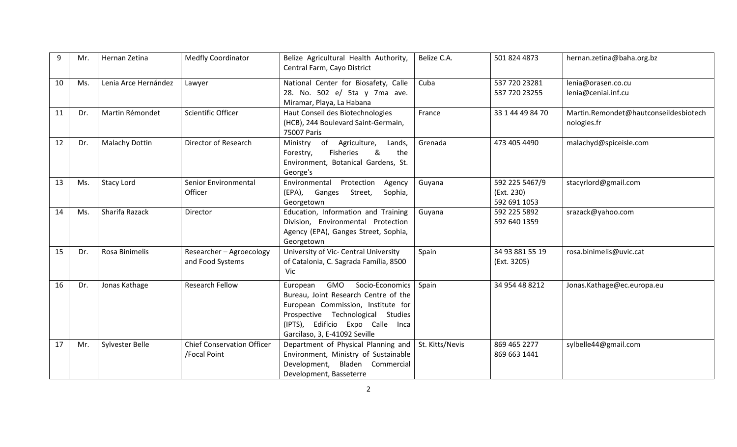| 9  | Mr. | Hernan Zetina         | <b>Medfly Coordinator</b>                         | Belize Agricultural Health Authority,<br>Central Farm, Cayo District                                                                                                                                                       | Belize C.A.     | 501 824 4873                                 | hernan.zetina@baha.org.bz                            |
|----|-----|-----------------------|---------------------------------------------------|----------------------------------------------------------------------------------------------------------------------------------------------------------------------------------------------------------------------------|-----------------|----------------------------------------------|------------------------------------------------------|
| 10 | Ms. | Lenia Arce Hernández  | Lawyer                                            | National Center for Biosafety, Calle<br>28. No. 502 e/ 5ta y 7ma ave.<br>Miramar, Playa, La Habana                                                                                                                         | Cuba            | 537 720 23281<br>537 720 23255               | lenia@orasen.co.cu<br>lenia@ceniai.inf.cu            |
| 11 | Dr. | Martin Rémondet       | <b>Scientific Officer</b>                         | Haut Conseil des Biotechnologies<br>(HCB), 244 Boulevard Saint-Germain,<br>75007 Paris                                                                                                                                     | France          | 33 1 44 49 84 70                             | Martin.Remondet@hautconseildesbiotech<br>nologies.fr |
| 12 | Dr. | <b>Malachy Dottin</b> | Director of Research                              | Ministry of<br>Agriculture,<br>Lands,<br>&<br>the<br>Fisheries<br>Forestry,<br>Environment, Botanical Gardens, St.<br>George's                                                                                             | Grenada         | 473 405 4490                                 | malachyd@spiceisle.com                               |
| 13 | Ms. | <b>Stacy Lord</b>     | Senior Environmental<br>Officer                   | Environmental<br>Protection<br>Agency<br>(EPA), Ganges<br>Street,<br>Sophia,<br>Georgetown                                                                                                                                 | Guyana          | 592 225 5467/9<br>(Ext. 230)<br>592 691 1053 | stacyrlord@gmail.com                                 |
| 14 | Ms. | Sharifa Razack        | Director                                          | Education, Information and Training<br>Division, Environmental Protection<br>Agency (EPA), Ganges Street, Sophia,<br>Georgetown                                                                                            | Guyana          | 592 225 5892<br>592 640 1359                 | srazack@yahoo.com                                    |
| 15 | Dr. | Rosa Binimelis        | Researcher - Agroecology<br>and Food Systems      | University of Vic- Central University<br>of Catalonia, C. Sagrada Família, 8500<br>Vic                                                                                                                                     | Spain           | 34 93 881 55 19<br>(Ext. 3205)               | rosa.binimelis@uvic.cat                              |
| 16 | Dr. | Jonas Kathage         | <b>Research Fellow</b>                            | GMO<br>Socio-Economics<br>European<br>Bureau, Joint Research Centre of the<br>European Commission, Institute for<br>Prospective Technological Studies<br>(IPTS), Edificio Expo Calle Inca<br>Garcilaso, 3, E-41092 Seville | Spain           | 34 954 48 8212                               | Jonas.Kathage@ec.europa.eu                           |
| 17 | Mr. | Sylvester Belle       | <b>Chief Conservation Officer</b><br>/Focal Point | Department of Physical Planning and<br>Environment, Ministry of Sustainable<br>Development, Bladen Commercial<br>Development, Basseterre                                                                                   | St. Kitts/Nevis | 869 465 2277<br>869 663 1441                 | sylbelle44@gmail.com                                 |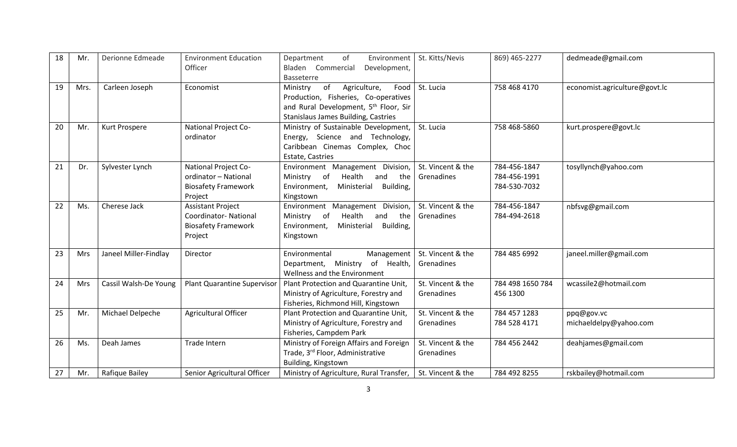| 18 | Mr.        | Derionne Edmeade      | <b>Environment Education</b><br>Officer                                                          | of<br>Environment<br>Department<br>Bladen Commercial<br>Development,<br><b>Basseterre</b>                                                                                         | St. Kitts/Nevis                 | 869) 465-2277                                | dedmeade@gmail.com                   |
|----|------------|-----------------------|--------------------------------------------------------------------------------------------------|-----------------------------------------------------------------------------------------------------------------------------------------------------------------------------------|---------------------------------|----------------------------------------------|--------------------------------------|
| 19 | Mrs.       | Carleen Joseph        | Economist                                                                                        | of<br>Agriculture,<br>Food<br>Ministry<br>Production, Fisheries, Co-operatives<br>and Rural Development, 5 <sup>th</sup> Floor, Sir<br><b>Stanislaus James Building, Castries</b> | St. Lucia                       | 758 468 4170                                 | economist.agriculture@govt.lc        |
| 20 | Mr.        | Kurt Prospere         | National Project Co-<br>ordinator                                                                | Ministry of Sustainable Development,<br>Energy, Science and Technology,<br>Caribbean Cinemas Complex, Choc<br>Estate, Castries                                                    | St. Lucia                       | 758 468-5860                                 | kurt.prospere@govt.lc                |
| 21 | Dr.        | Sylvester Lynch       | <b>National Project Co-</b><br>ordinator - National<br><b>Biosafety Framework</b><br>Project     | Environment Management Division,<br>Health<br>Ministry of<br>and<br>the<br>Ministerial<br>Building,<br>Environment,<br>Kingstown                                                  | St. Vincent & the<br>Grenadines | 784-456-1847<br>784-456-1991<br>784-530-7032 | tosyllynch@yahoo.com                 |
| 22 | Ms.        | Cherese Jack          | <b>Assistant Project</b><br><b>Coordinator-National</b><br><b>Biosafety Framework</b><br>Project | Environment Management Division,<br>Health<br>Ministry of<br>and<br>the<br>Ministerial<br>Building,<br>Environment,<br>Kingstown                                                  | St. Vincent & the<br>Grenadines | 784-456-1847<br>784-494-2618                 | nbfsvg@gmail.com                     |
| 23 | <b>Mrs</b> | Janeel Miller-Findlay | Director                                                                                         | Environmental<br>Management<br>Department, Ministry of Health,<br>Wellness and the Environment                                                                                    | St. Vincent & the<br>Grenadines | 784 485 6992                                 | janeel.miller@gmail.com              |
| 24 | <b>Mrs</b> | Cassil Walsh-De Young | <b>Plant Quarantine Supervisor</b>                                                               | Plant Protection and Quarantine Unit,<br>Ministry of Agriculture, Forestry and<br>Fisheries, Richmond Hill, Kingstown                                                             | St. Vincent & the<br>Grenadines | 784 498 1650 784<br>456 1300                 | wcassile2@hotmail.com                |
| 25 | Mr.        | Michael Delpeche      | Agricultural Officer                                                                             | Plant Protection and Quarantine Unit,<br>Ministry of Agriculture, Forestry and<br>Fisheries, Campdem Park                                                                         | St. Vincent & the<br>Grenadines | 784 457 1283<br>784 528 4171                 | ppq@gov.vc<br>michaeldelpy@yahoo.com |
| 26 | Ms.        | Deah James            | Trade Intern                                                                                     | Ministry of Foreign Affairs and Foreign<br>Trade, 3rd Floor, Administrative<br>Building, Kingstown                                                                                | St. Vincent & the<br>Grenadines | 784 456 2442                                 | deahjames@gmail.com                  |
| 27 | Mr.        | Rafique Bailey        | Senior Agricultural Officer                                                                      | Ministry of Agriculture, Rural Transfer,                                                                                                                                          | St. Vincent & the               | 784 492 8255                                 | rskbailey@hotmail.com                |